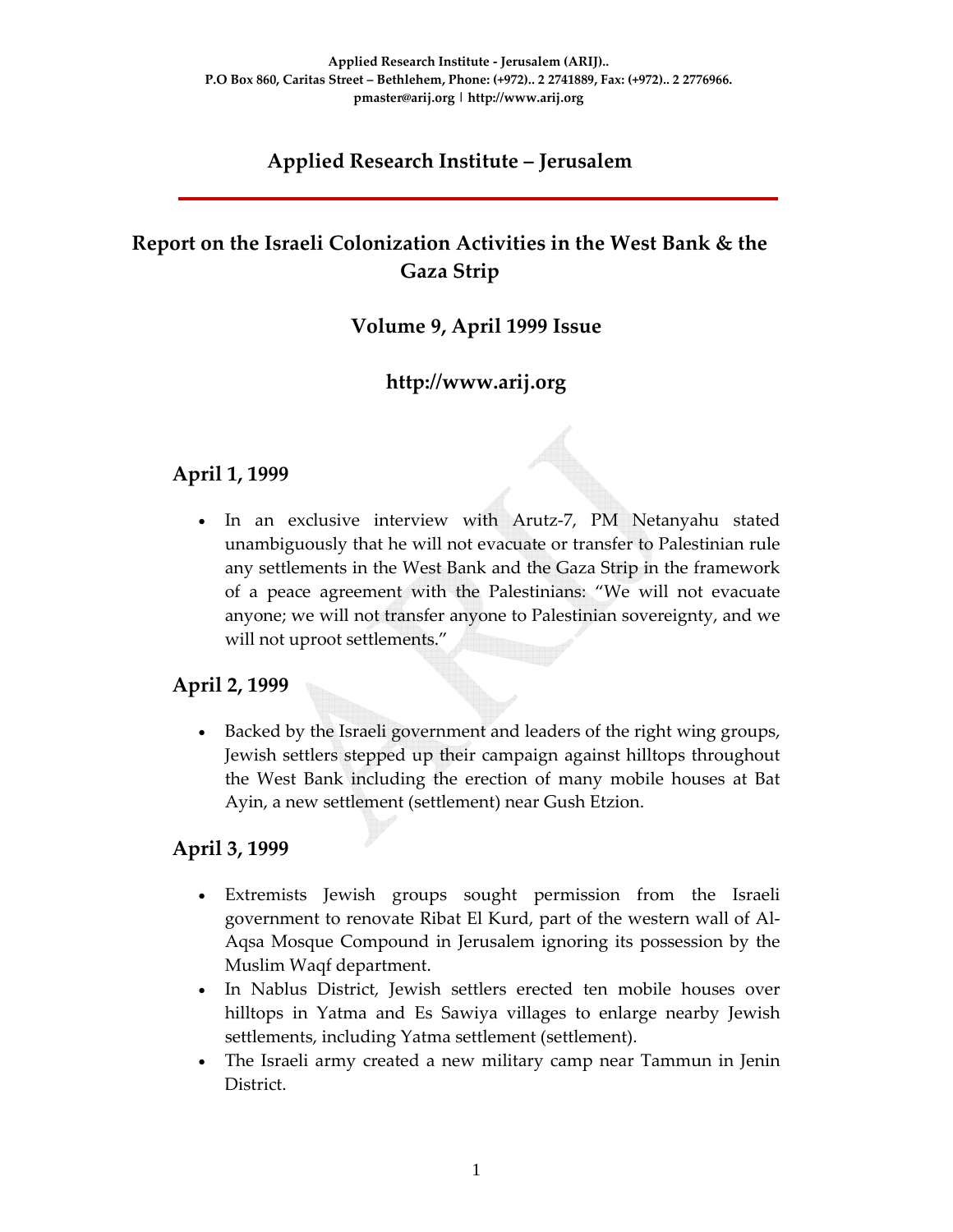# **Applied Research Institute – Jerusalem**

# **Report on the Israeli Colonization Activities in the West Bank & the Gaza Strip**

#### **Volume 9, April 1999 Issue**

### **http://www.arij.org**

#### **April 1, 1999**

In an exclusive interview with Arutz-7, PM Netanyahu stated unambiguously that he will not evacuate or transfer to Palestinian rule any settlements in the West Bank and the Gaza Strip in the framework of a peace agreement with the Palestinians: "We will not evacuate anyone; we will not transfer anyone to Palestinian sovereignty, and we will not uproot settlements."

#### **April 2, 1999**

• Backed by the Israeli government and leaders of the right wing groups, Jewish settlers stepped up their campaign against hilltops throughout the West Bank including the erection of many mobile houses at Bat Ayin, a new settlement (settlement) near Gush Etzion.

#### **April 3, 1999**

- Extremists Jewish groups sought permission from the Israeli government to renovate Ribat El Kurd, part of the western wall of Al‐ Aqsa Mosque Compound in Jerusalem ignoring its possession by the Muslim Waqf department.
- In Nablus District, Jewish settlers erected ten mobile houses over hilltops in Yatma and Es Sawiya villages to enlarge nearby Jewish settlements, including Yatma settlement (settlement).
- The Israeli army created a new military camp near Tammun in Jenin District.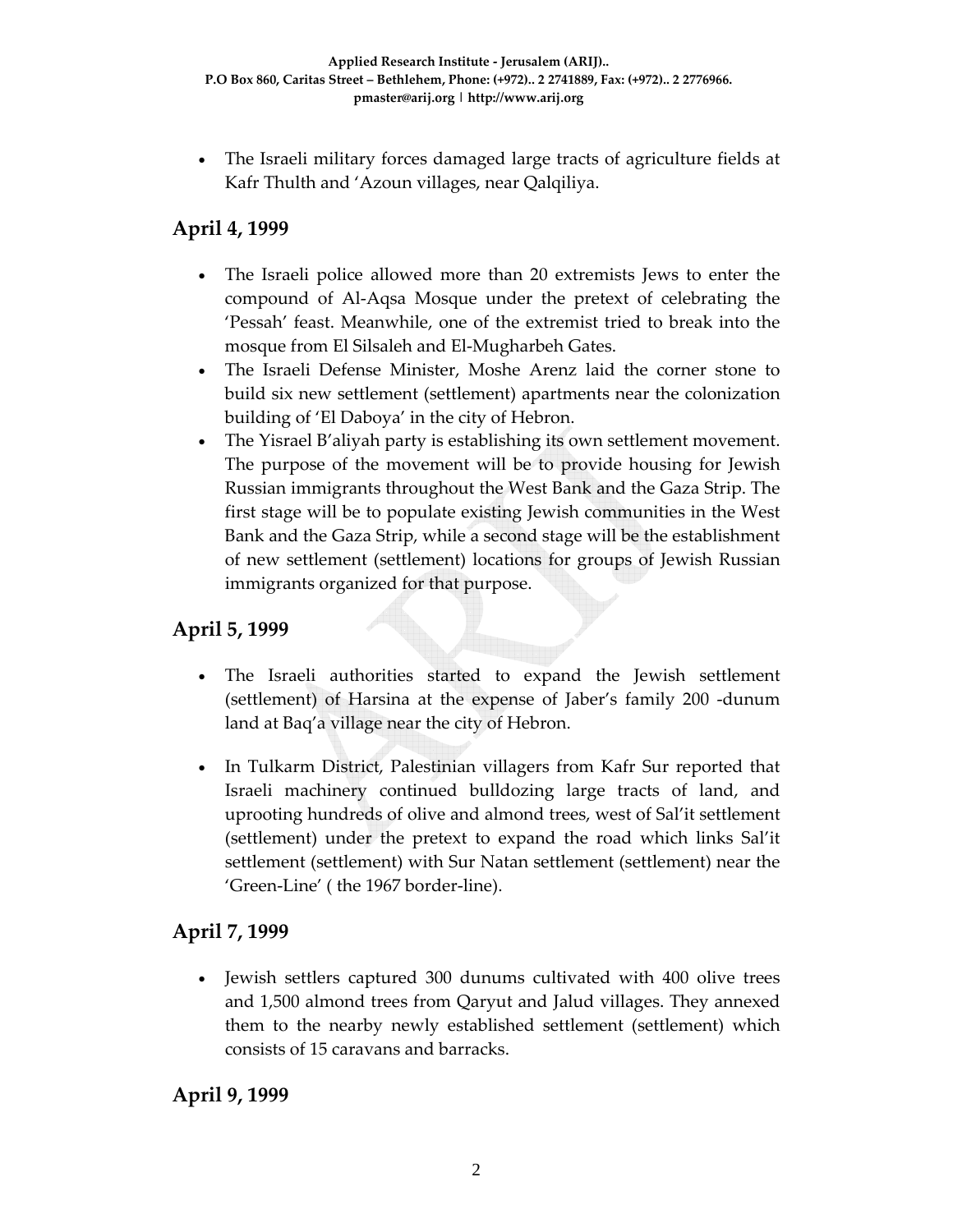• The Israeli military forces damaged large tracts of agriculture fields at Kafr Thulth and 'Azoun villages, near Qalqiliya.

# **April 4, 1999**

- The Israeli police allowed more than 20 extremists Jews to enter the compound of Al‐Aqsa Mosque under the pretext of celebrating the 'Pessah' feast. Meanwhile, one of the extremist tried to break into the mosque from El Silsaleh and El‐Mugharbeh Gates.
- The Israeli Defense Minister, Moshe Arenz laid the corner stone to build six new settlement (settlement) apartments near the colonization building of 'El Daboya' in the city of Hebron.
- The Yisrael B'aliyah party is establishing its own settlement movement. The purpose of the movement will be to provide housing for Jewish Russian immigrants throughout the West Bank and the Gaza Strip. The first stage will be to populate existing Jewish communities in the West Bank and the Gaza Strip, while a second stage will be the establishment of new settlement (settlement) locations for groups of Jewish Russian immigrants organized for that purpose.

### **April 5, 1999**

- The Israeli authorities started to expand the Jewish settlement (settlement) of Harsina at the expense of Jaber's family 200 ‐dunum land at Baq'a village near the city of Hebron.
- In Tulkarm District, Palestinian villagers from Kafr Sur reported that Israeli machinery continued bulldozing large tracts of land, and uprooting hundreds of olive and almond trees, west of Sal'it settlement (settlement) under the pretext to expand the road which links Sal'it settlement (settlement) with Sur Natan settlement (settlement) near the 'Green‐Line' ( the 1967 border‐line).

#### **April 7, 1999**

• Jewish settlers captured 300 dunums cultivated with 400 olive trees and 1,500 almond trees from Qaryut and Jalud villages. They annexed them to the nearby newly established settlement (settlement) which consists of 15 caravans and barracks.

#### **April 9, 1999**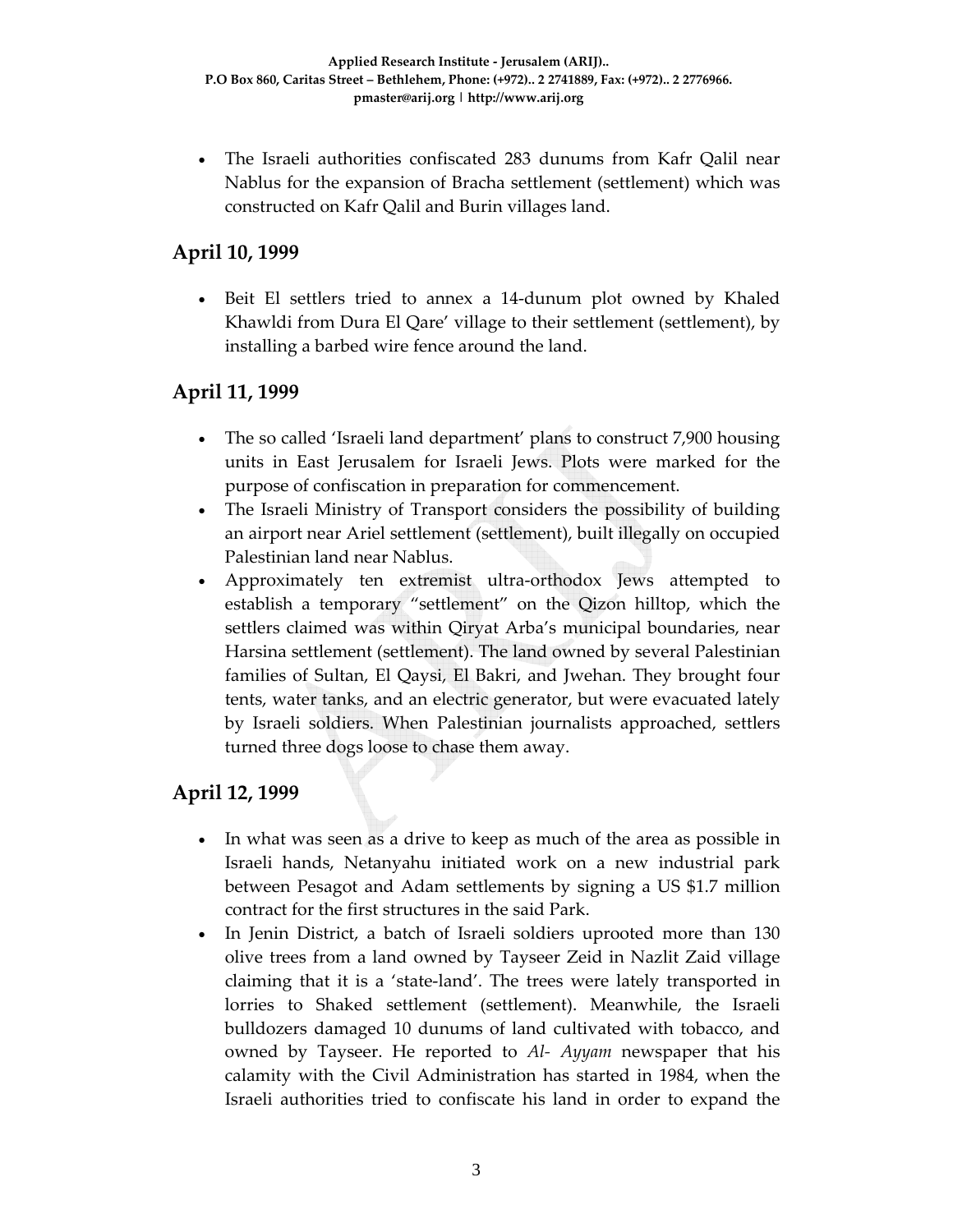• The Israeli authorities confiscated 283 dunums from Kafr Qalil near Nablus for the expansion of Bracha settlement (settlement) which was constructed on Kafr Qalil and Burin villages land.

## **April 10, 1999**

• Beit El settlers tried to annex a 14‐dunum plot owned by Khaled Khawldi from Dura El Qare' village to their settlement (settlement), by installing a barbed wire fence around the land.

## **April 11, 1999**

- The so called 'Israeli land department' plans to construct 7,900 housing units in East Jerusalem for Israeli Jews. Plots were marked for the purpose of confiscation in preparation for commencement.
- The Israeli Ministry of Transport considers the possibility of building an airport near Ariel settlement (settlement), built illegally on occupied Palestinian land near Nablus.
- Approximately ten extremist ultra-orthodox Jews attempted to establish a temporary "settlement" on the Qizon hilltop, which the settlers claimed was within Qiryat Arba's municipal boundaries, near Harsina settlement (settlement). The land owned by several Palestinian families of Sultan, El Qaysi, El Bakri, and Jwehan. They brought four tents, water tanks, and an electric generator, but were evacuated lately by Israeli soldiers. When Palestinian journalists approached, settlers turned three dogs loose to chase them away.

## **April 12, 1999**

- In what was seen as a drive to keep as much of the area as possible in Israeli hands, Netanyahu initiated work on a new industrial park between Pesagot and Adam settlements by signing a US \$1.7 million contract for the first structures in the said Park.
- In Jenin District, a batch of Israeli soldiers uprooted more than 130 olive trees from a land owned by Tayseer Zeid in Nazlit Zaid village claiming that it is a 'state‐land'. The trees were lately transported in lorries to Shaked settlement (settlement). Meanwhile, the Israeli bulldozers damaged 10 dunums of land cultivated with tobacco, and owned by Tayseer. He reported to *Al‐ Ayyam* newspaper that his calamity with the Civil Administration has started in 1984, when the Israeli authorities tried to confiscate his land in order to expand the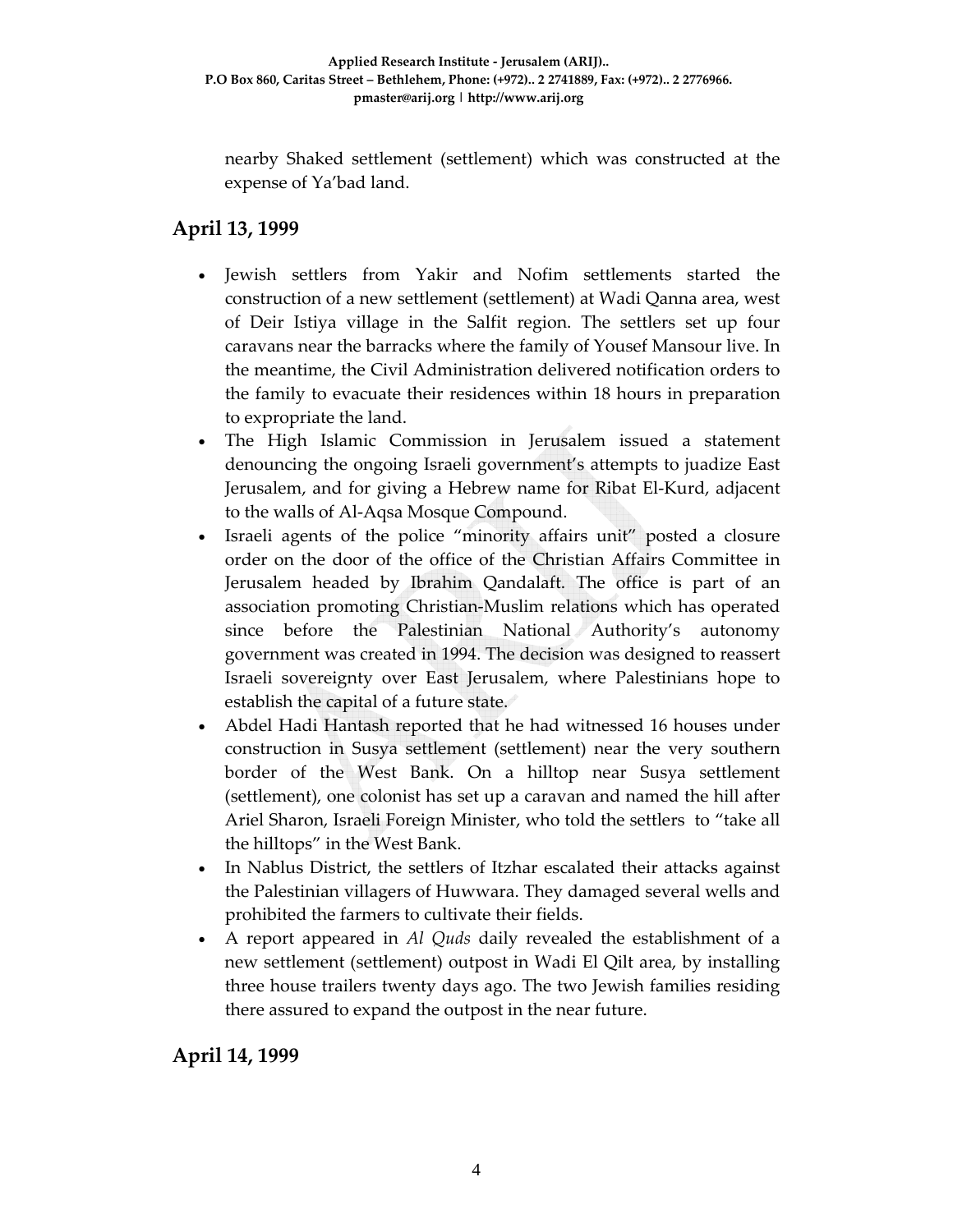nearby Shaked settlement (settlement) which was constructed at the expense of Ya'bad land.

# **April 13, 1999**

- Jewish settlers from Yakir and Nofim settlements started the construction of a new settlement (settlement) at Wadi Qanna area, west of Deir Istiya village in the Salfit region. The settlers set up four caravans near the barracks where the family of Yousef Mansour live. In the meantime, the Civil Administration delivered notification orders to the family to evacuate their residences within 18 hours in preparation to expropriate the land.
- The High Islamic Commission in Jerusalem issued a statement denouncing the ongoing Israeli government's attempts to juadize East Jerusalem, and for giving a Hebrew name for Ribat El‐Kurd, adjacent to the walls of Al‐Aqsa Mosque Compound.
- Israeli agents of the police "minority affairs unit" posted a closure order on the door of the office of the Christian Affairs Committee in Jerusalem headed by Ibrahim Qandalaft. The office is part of an association promoting Christian‐Muslim relations which has operated since before the Palestinian National Authority's autonomy government was created in 1994. The decision was designed to reassert Israeli sovereignty over East Jerusalem, where Palestinians hope to establish the capital of a future state.
- Abdel Hadi Hantash reported that he had witnessed 16 houses under construction in Susya settlement (settlement) near the very southern border of the West Bank. On a hilltop near Susya settlement (settlement), one colonist has set up a caravan and named the hill after Ariel Sharon, Israeli Foreign Minister, who told the settlers to "take all the hilltops" in the West Bank.
- In Nablus District, the settlers of Itzhar escalated their attacks against the Palestinian villagers of Huwwara. They damaged several wells and prohibited the farmers to cultivate their fields.
- A report appeared in *Al Quds* daily revealed the establishment of a new settlement (settlement) outpost in Wadi El Qilt area, by installing three house trailers twenty days ago. The two Jewish families residing there assured to expand the outpost in the near future.

#### **April 14, 1999**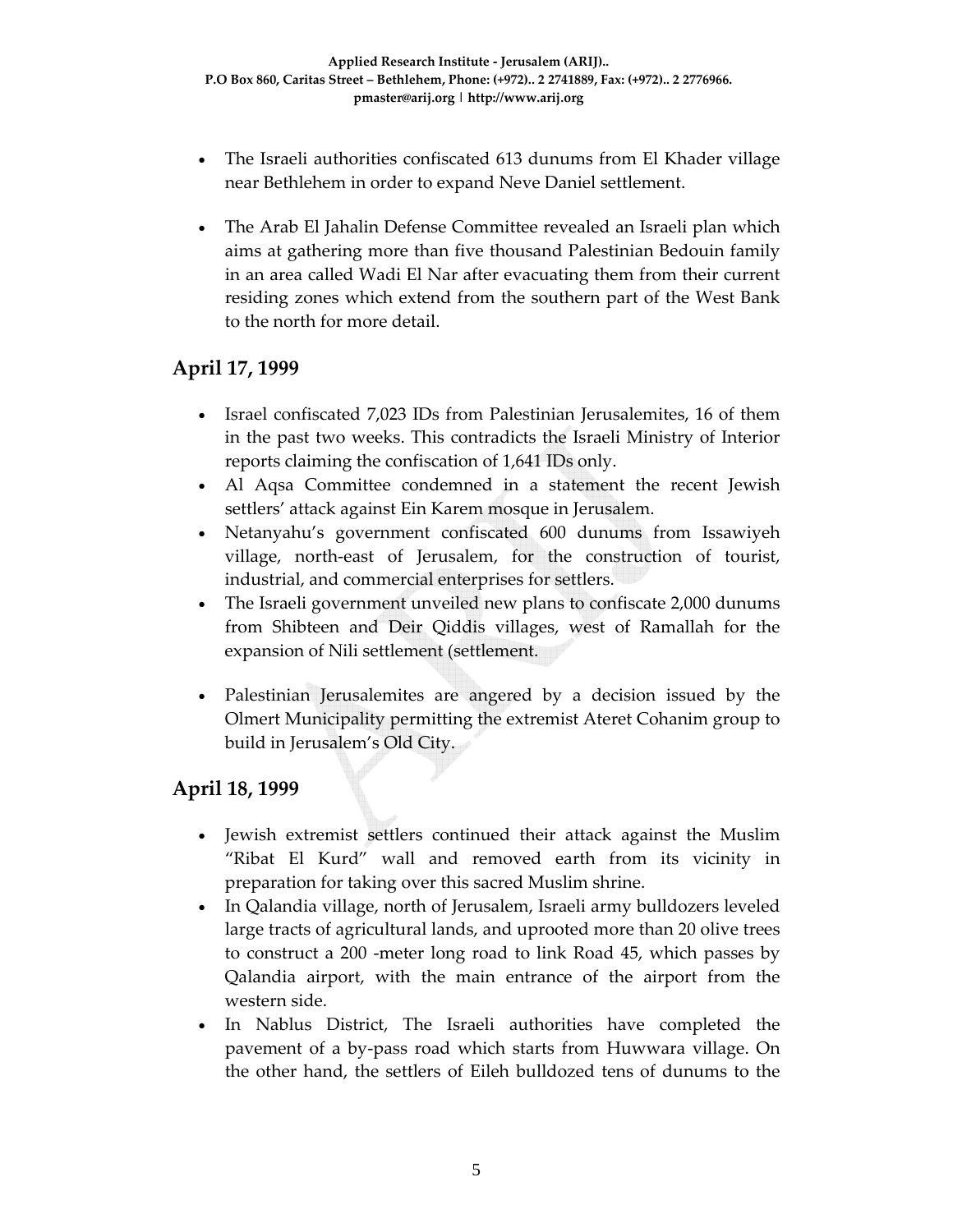- The Israeli authorities confiscated 613 dunums from El Khader village near Bethlehem in order to expand Neve Daniel settlement.
- The Arab El Jahalin Defense Committee revealed an Israeli plan which aims at gathering more than five thousand Palestinian Bedouin family in an area called Wadi El Nar after evacuating them from their current residing zones which extend from the southern part of the West Bank to the north for more detail.

#### **April 17, 1999**

- Israel confiscated 7,023 IDs from Palestinian Jerusalemites, 16 of them in the past two weeks. This contradicts the Israeli Ministry of Interior reports claiming the confiscation of 1,641 IDs only.
- Al Aqsa Committee condemned in a statement the recent Jewish settlers' attack against Ein Karem mosque in Jerusalem.
- Netanyahu's government confiscated 600 dunums from Issawiyeh village, north‐east of Jerusalem, for the construction of tourist, industrial, and commercial enterprises for settlers.
- The Israeli government unveiled new plans to confiscate 2,000 dunums from Shibteen and Deir Qiddis villages, west of Ramallah for the expansion of Nili settlement (settlement.
- Palestinian Jerusalemites are angered by a decision issued by the Olmert Municipality permitting the extremist Ateret Cohanim group to build in Jerusalem's Old City.

#### **April 18, 1999**

- Jewish extremist settlers continued their attack against the Muslim "Ribat El Kurd" wall and removed earth from its vicinity in preparation for taking over this sacred Muslim shrine.
- In Qalandia village, north of Jerusalem, Israeli army bulldozers leveled large tracts of agricultural lands, and uprooted more than 20 olive trees to construct a 200 -meter long road to link Road 45, which passes by Qalandia airport, with the main entrance of the airport from the western side.
- In Nablus District, The Israeli authorities have completed the pavement of a by‐pass road which starts from Huwwara village. On the other hand, the settlers of Eileh bulldozed tens of dunums to the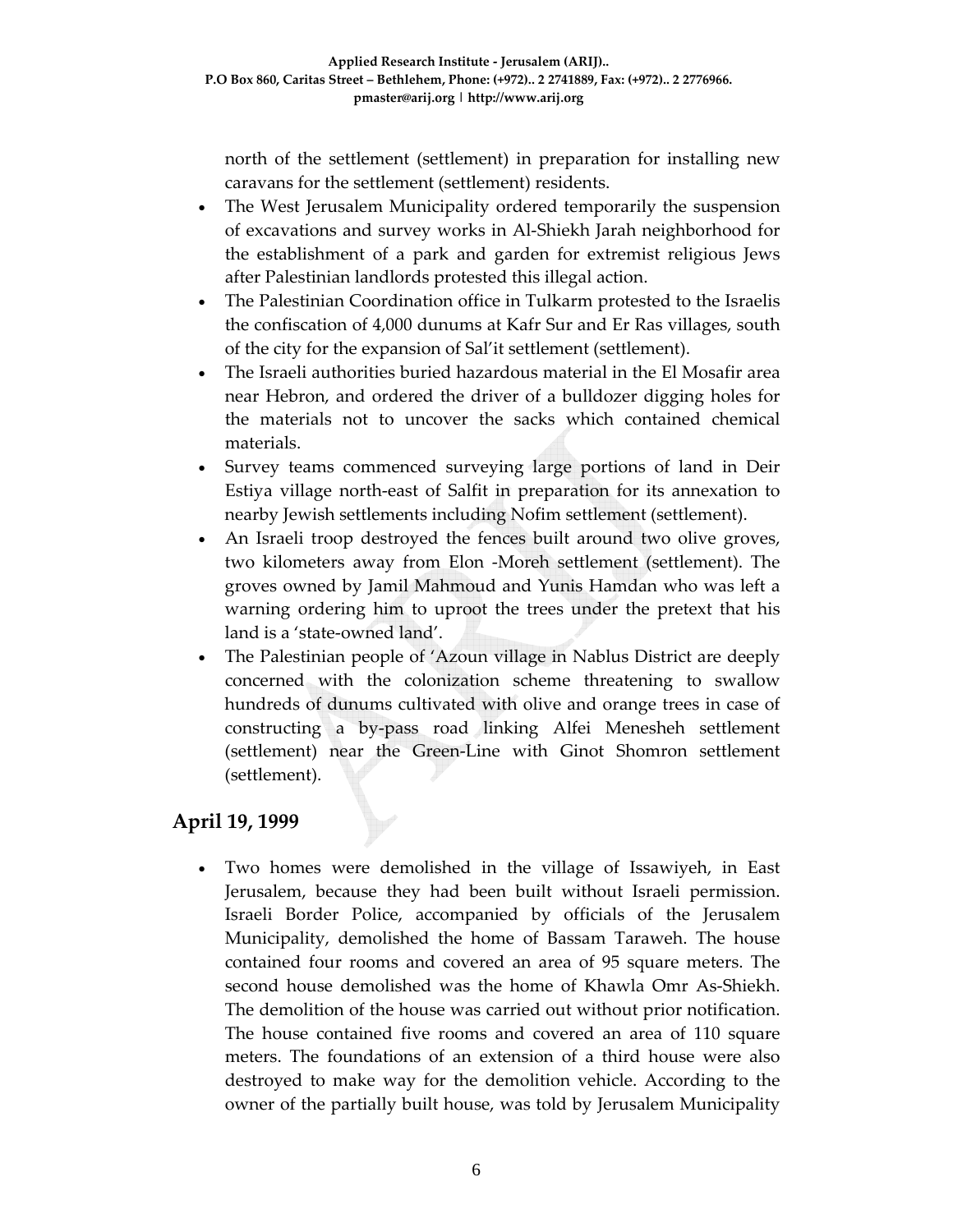north of the settlement (settlement) in preparation for installing new caravans for the settlement (settlement) residents.

- The West Jerusalem Municipality ordered temporarily the suspension of excavations and survey works in Al‐Shiekh Jarah neighborhood for the establishment of a park and garden for extremist religious Jews after Palestinian landlords protested this illegal action.
- The Palestinian Coordination office in Tulkarm protested to the Israelis the confiscation of 4,000 dunums at Kafr Sur and Er Ras villages, south of the city for the expansion of Sal'it settlement (settlement).
- The Israeli authorities buried hazardous material in the El Mosafir area near Hebron, and ordered the driver of a bulldozer digging holes for the materials not to uncover the sacks which contained chemical materials.
- Survey teams commenced surveying large portions of land in Deir Estiya village north‐east of Salfit in preparation for its annexation to nearby Jewish settlements including Nofim settlement (settlement).
- An Israeli troop destroyed the fences built around two olive groves, two kilometers away from Elon ‐Moreh settlement (settlement). The groves owned by Jamil Mahmoud and Yunis Hamdan who was left a warning ordering him to uproot the trees under the pretext that his land is a 'state‐owned land'.
- The Palestinian people of 'Azoun village in Nablus District are deeply concerned with the colonization scheme threatening to swallow hundreds of dunums cultivated with olive and orange trees in case of constructing a by‐pass road linking Alfei Menesheh settlement (settlement) near the Green‐Line with Ginot Shomron settlement (settlement).

## **April 19, 1999**

• Two homes were demolished in the village of Issawiyeh, in East Jerusalem, because they had been built without Israeli permission. Israeli Border Police, accompanied by officials of the Jerusalem Municipality, demolished the home of Bassam Taraweh. The house contained four rooms and covered an area of 95 square meters. The second house demolished was the home of Khawla Omr As‐Shiekh. The demolition of the house was carried out without prior notification. The house contained five rooms and covered an area of 110 square meters. The foundations of an extension of a third house were also destroyed to make way for the demolition vehicle. According to the owner of the partially built house, was told by Jerusalem Municipality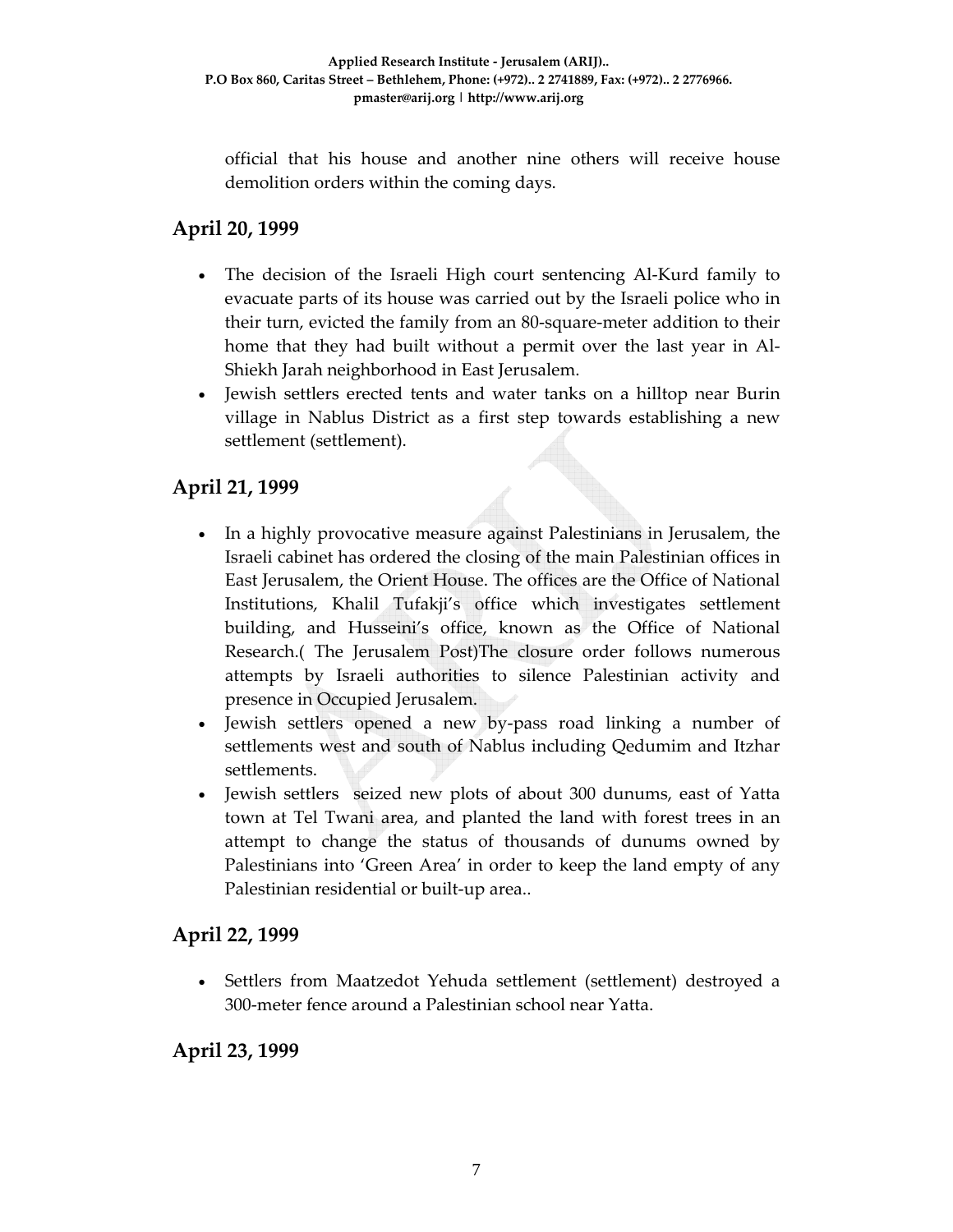official that his house and another nine others will receive house demolition orders within the coming days.

# **April 20, 1999**

- The decision of the Israeli High court sentencing Al-Kurd family to evacuate parts of its house was carried out by the Israeli police who in their turn, evicted the family from an 80‐square‐meter addition to their home that they had built without a permit over the last year in Al‐ Shiekh Jarah neighborhood in East Jerusalem.
- Jewish settlers erected tents and water tanks on a hilltop near Burin village in Nablus District as a first step towards establishing a new settlement (settlement).

# **April 21, 1999**

- In a highly provocative measure against Palestinians in Jerusalem, the Israeli cabinet has ordered the closing of the main Palestinian offices in East Jerusalem, the Orient House. The offices are the Office of National Institutions, Khalil Tufakji's office which investigates settlement building, and Husseini's office, known as the Office of National Research.( The Jerusalem Post)The closure order follows numerous attempts by Israeli authorities to silence Palestinian activity and presence in Occupied Jerusalem.
- Jewish settlers opened a new by‐pass road linking a number of settlements west and south of Nablus including Qedumim and Itzhar settlements.
- Jewish settlers seized new plots of about 300 dunums, east of Yatta town at Tel Twani area, and planted the land with forest trees in an attempt to change the status of thousands of dunums owned by Palestinians into 'Green Area' in order to keep the land empty of any Palestinian residential or built‐up area..

#### **April 22, 1999**

• Settlers from Maatzedot Yehuda settlement (settlement) destroyed a 300‐meter fence around a Palestinian school near Yatta.

#### **April 23, 1999**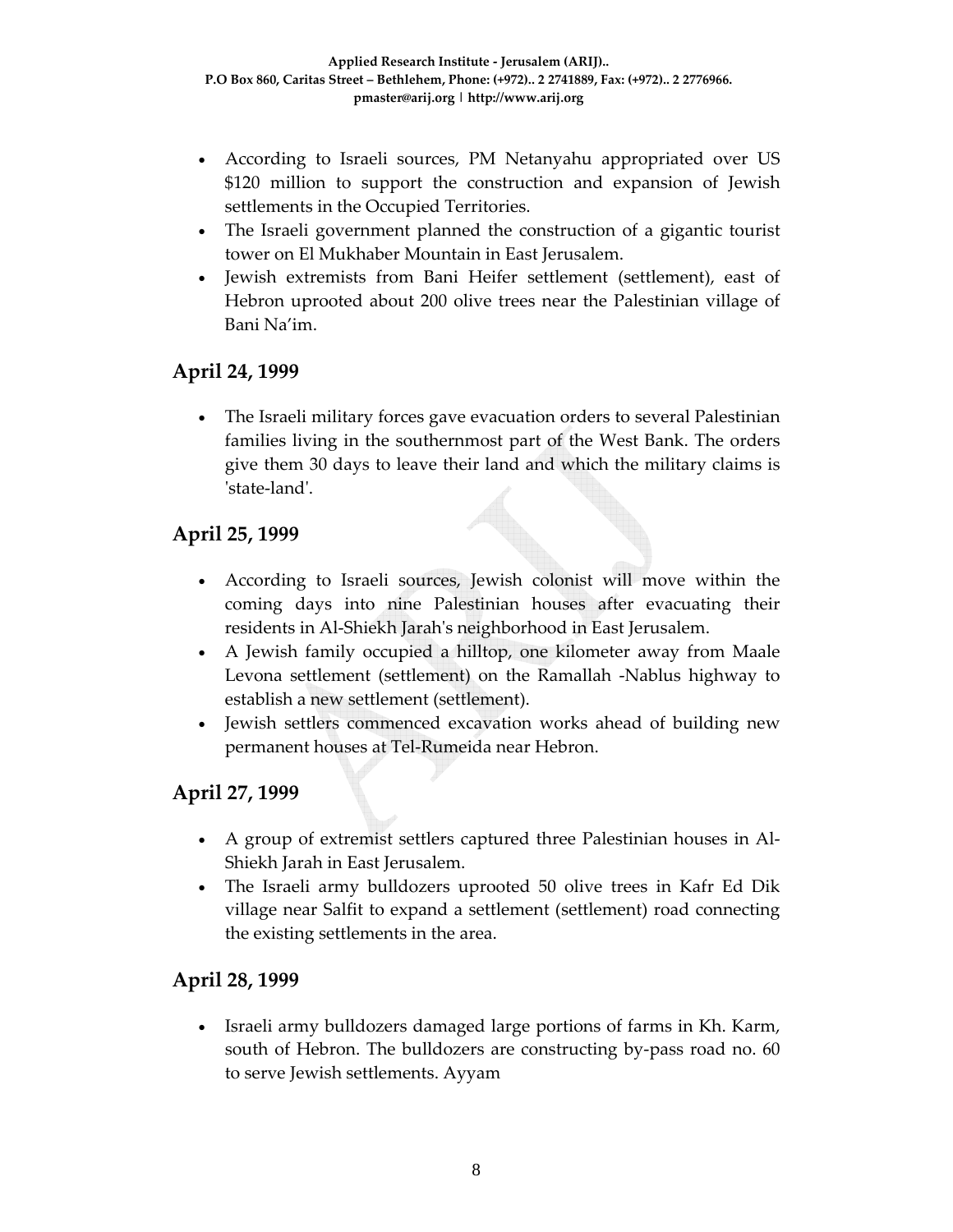- According to Israeli sources, PM Netanyahu appropriated over US \$120 million to support the construction and expansion of Jewish settlements in the Occupied Territories.
- The Israeli government planned the construction of a gigantic tourist tower on El Mukhaber Mountain in East Jerusalem.
- Jewish extremists from Bani Heifer settlement (settlement), east of Hebron uprooted about 200 olive trees near the Palestinian village of Bani Na'im.

### **April 24, 1999**

• The Israeli military forces gave evacuation orders to several Palestinian families living in the southernmost part of the West Bank. The orders give them 30 days to leave their land and which the military claims is ʹstate‐landʹ.

### **April 25, 1999**

- According to Israeli sources, Jewish colonist will move within the coming days into nine Palestinian houses after evacuating their residents in Al‐Shiekh Jarahʹs neighborhood in East Jerusalem.
- A Jewish family occupied a hilltop, one kilometer away from Maale Levona settlement (settlement) on the Ramallah ‐Nablus highway to establish a new settlement (settlement).
- Jewish settlers commenced excavation works ahead of building new permanent houses at Tel‐Rumeida near Hebron.

#### **April 27, 1999**

- A group of extremist settlers captured three Palestinian houses in Al-Shiekh Jarah in East Jerusalem.
- The Israeli army bulldozers uprooted 50 olive trees in Kafr Ed Dik village near Salfit to expand a settlement (settlement) road connecting the existing settlements in the area.

#### **April 28, 1999**

• Israeli army bulldozers damaged large portions of farms in Kh. Karm, south of Hebron. The bulldozers are constructing by-pass road no. 60 to serve Jewish settlements. Ayyam